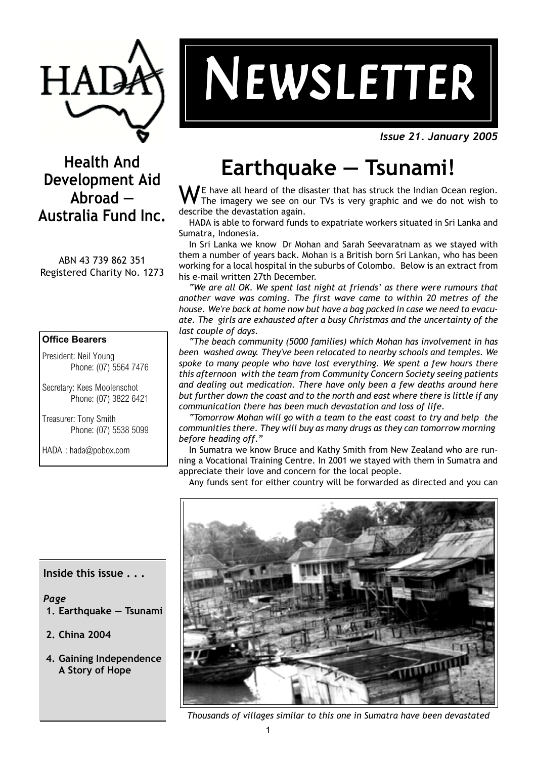

# $NEWSLETTER$

*Issue 21. January 2005*

### **Health And Development Aid Abroad — Australia Fund Inc.**

ABN 43 739 862 351 Registered Charity No. 1273

### **Office Bearers**

President: Neil Young Phone: (07) 5564 7476

Secretary: Kees Moolenschot Phone: (07) 3822 6421

Treasurer: Tony Smith Phone: (07) 5538 5099

HADA : hada@pobox.com

# **Earthquake — Tsunami!**

E have all heard of the disaster that has struck the Indian Ocean region. The imagery we see on our TVs is very graphic and we do not wish to describe the devastation again.

HADA is able to forward funds to expatriate workers situated in Sri Lanka and Sumatra, Indonesia.

In Sri Lanka we know Dr Mohan and Sarah Seevaratnam as we stayed with them a number of years back. Mohan is a British born Sri Lankan, who has been working for a local hospital in the suburbs of Colombo. Below is an extract from his e-mail written 27th December.

*"We are all OK. We spent last night at friends' as there were rumours that another wave was coming. The first wave came to within 20 metres of the* house. We're back at home now but have a bag packed in case we need to evacuate. The girls are exhausted after a busy Christmas and the uncertainty of the *last couple of days.*

*"The beach community (5000 families) which Mohan has involvement in has* been washed away. They've been relocated to nearby schools and temples. We *spoke to many people who have lost everything. We spent a few hours there* this afternoon with the team from Community Concern Society seeing patients *and dealing out medication. There have only been a few deaths around here but further down the coast and to the north and east where there is little if any communication there has been much devastation and loss of life.*

*"Tomorrow Mohan will go with a team to the east coast to try and helpÊ the communities there. They will buy as many drugs as they can tomorrow morning before heading off."*

In Sumatra we know Bruce and Kathy Smith from New Zealand who are running a Vocational Training Centre. In 2001 we stayed with them in Sumatra and appreciate their love and concern for the local people.

Any funds sent for either country will be forwarded as directed and you can



*Thousands of villages similar to this one in Sumatra have been devastated*

**Inside this issue . . .**

*Page*

- **1. Earthquake Tsunami**
- **2. China 2004**
- **4. Gaining Independence A Story of Hope**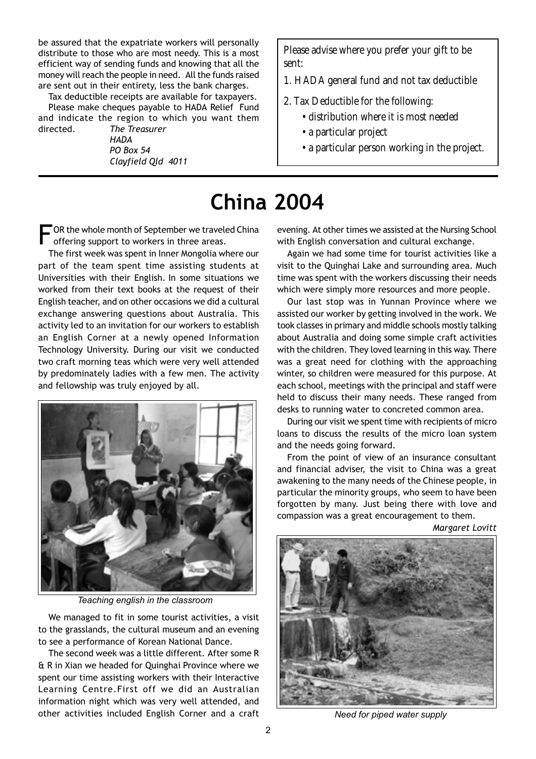be assured that the expatriate workers will personally distribute to those who are most needy. This is a most efficient way of sending funds and knowing that all the money will reach the people in need. All the funds raised are sent out in their entirety, less the bank charges.

Tax deductible receipts are available for taxpayers.

Please make cheques payable to HADA Relief Fund and indicate the region to which you want them directed. *The Treasurer*

*HADA PO Box 54 Clayfield QldÊ 4011*

Please advise where you prefer your gift to be sent:

- 1. HADA general fund and not tax deductible
- 2. Tax Deductible for the following:
	- distribution where it is most needed
	- a particular project
	- a particular person working in the project.

# **China 2004**

OR the whole month of September we traveled China offering support to workers in three areas.

The first week was spent in Inner Mongolia where our part of the team spent time assisting students at Universities with their English. In some situations we worked from their text books at the request of their English teacher, and on other occasions we did a cultural exchange answering questions about Australia. This activity led to an invitation for our workers to establish an English Corner at a newly opened Information Technology University. During our visit we conducted two craft morning teas which were very well attended by predominately ladies with a few men. The activity and fellowship was truly enjoyed by all.



*Teaching english in the classroom*

We managed to fit in some tourist activities, a visit to the grasslands, the cultural museum and an evening to see a performance of Korean National Dance.

The second week was a little different. After some R & R in Xian we headed for Quinghai Province where we spent our time assisting workers with their Interactive Learning Centre.First off we did an Australian information night which was very well attended, and other activities included English Corner and a craft evening. At other times we assisted at the Nursing School with English conversation and cultural exchange.

Again we had some time for tourist activities like a visit to the Quinghai Lake and surrounding area. Much time was spent with the workers discussing their needs which were simply more resources and more people.

Our last stop was in Yunnan Province where we assisted our worker by getting involved in the work. We took classes in primary and middle schools mostly talking about Australia and doing some simple craft activities with the children. They loved learning in this way. There was a great need for clothing with the approaching winter, so children were measured for this purpose. At each school, meetings with the principal and staff were held to discuss their many needs. These ranged from desks to running water to concreted common area.

During our visit we spent time with recipients of micro loans to discuss the results of the micro loan system and the needs going forward.

From the point of view of an insurance consultant and financial adviser, the visit to China was a great awakening to the many needs of the Chinese people, in particular the minority groups, who seem to have been forgotten by many. Just being there with love and compassion was a great encouragement to them.

*Margaret Lovitt*



*Need for piped water supply*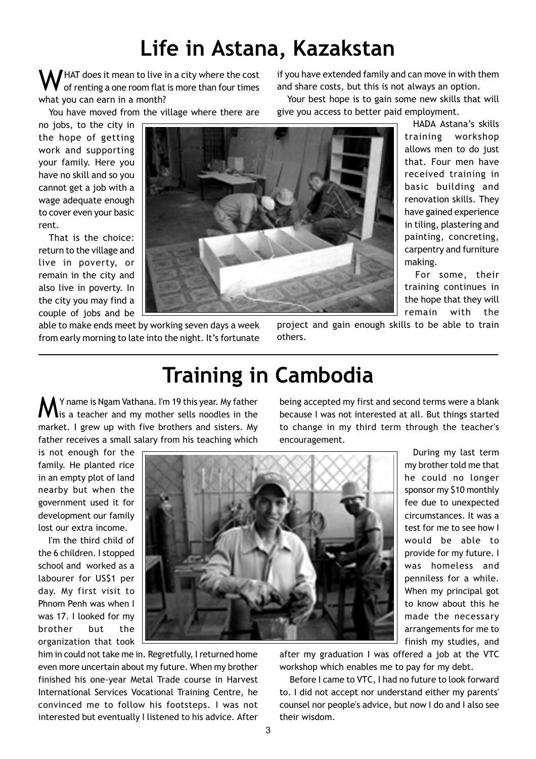# **Life in Astana, Kazakstan**

 $\blacksquare$  HAT does it mean to live in a city where the cost of renting a one room flat is more than four times what you can earn in a month?

You have moved from the village where there are

no jobs, to the city in the hope of getting work and supporting your family. Here you have no skill and so you cannot get a job with a wage adequate enough to cover even your basic rent.

That is the choice: return to the village and live in poverty, or remain in the city and also live in poverty. In the city you may find a couple of jobs and be



able to make ends meet by working seven days a week from early morning to late into the night. It's fortunate if you have extended family and can move in with them and share costs, but this is not always an option.

Your best hope is to gain some new skills that will give you access to better paid employment.

> HADA Astana's skills training workshop allows men to do just that. Four men have received training in basic building and renovation skills. They have gained experience in tiling, plastering and painting, concreting, carpentry and furniture making.

> For some, their training continues in the hope that they will remain with the

project and gain enough skills to be able to train others.

# **Training in Cambodia**

 $\blacktriangle$  Y name is Ngam Vathana. I'm 19 this vear. My father **l** is a teacher and my mother sells noodles in the market. I grew up with five brothers and sisters. My father receives a small salary from his teaching which

is not enough for the family. He planted rice in an empty plot of land nearby but when the government used it for development our family lost our extra income.

I'm the third child of the 6 children. I stopped school and worked as a labourer for US\$1 per day. My first visit to Phnom Penh was when I was 17. I looked for my brother but the organization that took



him in could not take me in. Regretfully, I returned home even more uncertain about my future. When my brother finished his one-year Metal Trade course in Harvest International Services Vocational Training Centre, he convinced me to follow his footsteps. I was not interested but eventually I listened to his advice. After

being accepted my first and second terms were a blank because I was not interested at all. But things started to change in my third term through the teacher's encouragement.

 During my last term my brother told me that he could no longer sponsor my \$10 monthly fee due to unexpected circumstances. It was a test for me to see how I would be able to provide for my future. I was homeless and penniless for a while. When my principal got to know about this he made the necessary arrangements for me to finish my studies, and

after my graduation I was offered a job at the VTC workshop which enables me to pay for my debt.

Before I came to VTC, I had no future to look forward to. I did not accept nor understand either my parents' counsel nor people's advice, but now I do and I also see their wisdom.